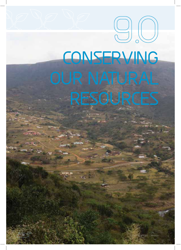# **CONSERVING OUR NATURAL RESOURCES**

**9.O**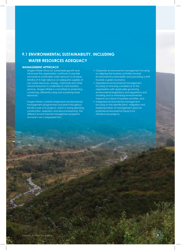# **9.1 ENVIRONMENTAL SUSTAINABILITY, INCLUDING WATER RESOURCES ADEQUACY**

# **MANAGEMENT APPROACH**

Umgeni Water strives for sustainable growth and will ensure the organisation continues to provide and extend sustainable water services to all areas. Mindful of its high reliance on adequate supplies of raw water resources, energy, chemicals and other natural resources to undertake its core business services, Umgeni Water is committed to protecting, conserving, efficiently using and sustaining these resources.

Umgeni Water currently implements environmental management programmes and plans throughout the life-cycle of its projects, which is during planning, construction, operation and decommissioning. The different environmental management programs and plans are categorised into:

- Corporate environmental management focusing on aligning the business activities towards environmental sustainability and promoting a shift towards a green economy,
- Operational environmental management focusing on ensuring compliance of the organisation with applicable governing environmental legislations and regulations and avoiding and or minimising environmental impacts as a result of business activities, and
- Integrated environmental management focusing on the identification, mitigation and implementation of management plans for potential environmental impacts for infrastructure projects.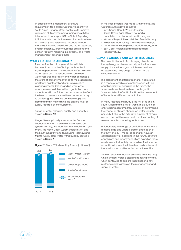In addition to the mandatory disclosure requirements for a public water services entity in South Africa, Umgeni Water continues to improve alignment of its environmental indicators with the internationally accepted GRI – Global Reporting Initiative – indicator disclosure requirements, in terms of materiality and relevance. Aspects include: materials, including chemicals and water resources, energy efficiency, greenhouse gas emissions and carbon footprint mapping, biodiversity, and waste management, amongst others.

# **WATER RESOURCES ADEQUACY**

The core function of Umgeni Water, which is treatment and supply of bulk potable water, is highly dependent on the availability of sustainable water resources. The reconciliation between water resource availability and water demands is therefore of primary importance to the organisation and forms an integral part of its infrastructure planning process. Understanding what water resources are available to the organisation both currently and in the future, and what impacts affect the level of assurance from these resources, is key to achieving the balance between supply and demand and in maintaining the assured level of supply required by the customers.

A map of water resources quality and quantity in shown in **Figure 9.2.** 

Umgeni Water primarily sources water from ten impoundments on three major water resource systems namely, the Mgeni System (Mooi and Mgeni rivers), the North Coast System (Mdloti River) and the South Coast System (Nungwane, Mzimayi and Mzinto rivers). Total water withdrawal by source is shown in **Figure 9.1.**





In the year, progress was made with the following water resources developments:

- Imvutshane Dam (UW) construction,
- Spring Grove Dam (DWA-TCTA) partial completion and impoundment in progress,
- Mkomazi Project (DWA) detailed feasibility study,
- Hazelmere Dam raising (DWA) detailed design,
- Darvill WWTW Reuse project feasibility study, and
- East Coast Region Desalination detailed feasibility study.

### **CLIMATE CHANGE AND WATER RESOURCES**

The potential impact of a changing climate on the hydrology and water security of the four main supply dams in the Mgeni catchment has been assessed using thirty-one(31) different future climate scenarios.

The assessment of different scenarios has resulted in a range of possible alternatives, each with an equal possibility of occurring in the future. The scenarios have therefore been packaged in a Scenario Selection Tool to facilitate the assessment of impacts for different permutations.

In many respects, this study is the first of its kind in South Africa and the rest of world. This is due, not only to being contemporary in terms of determining the impact of climate change on water security per se, but also to the extensive number of climate models used in this assessment, and the coupling of several complex modelling techniques.

Unfortunately, the range of possibilities in the future remains large and unpredictable. Since each of the thirty-one (31) modelled scenarios have an equal possibility of occurring in the future, definitive conclusions and recommendations based on these results, are unfortunately not possible. The increased variability will make the future less predictable and thereby impose additional risk and vulnerability.

Several recommendations emanate from this study which Umgeni Water is assessing to taking forward, whilst continuing to explore traditional and new methodologies to improve the management and supply of water.

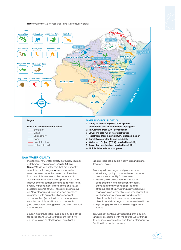**Figure 9.2** Major water resources and water quality status



# **Legend**

|  | <b>River and Impoundment Quality</b> |  |
|--|--------------------------------------|--|
|  | Excellent                            |  |

- Good
- Satisfactory
- Poor
- Unsatisfactory
- Not Monitored

#### **WATER RESOURCES PROJECTS**

- **1. Spring Grove Dam (DWA-TCTA) partial completion and impoundment in progress**
- **2. Imvutshane Dam (UW) construction**
- **3. Lower Thukela run of river abstraction**
- **4. Hazelmere Dam Raising (DWA) detailed design**
- **5. Darvill Wastewater Re-use feasibility**
- **6. Mkhomazi Project (DWA) detailed feasibility**
- **7. Seawater desalination detailed feasibility**
- **8. Mhlabatshane Dam complete**

#### **RAW WATER QUALITY**

The status of raw water quality per supply source/ catchment is represented in **Table 9.1 and Figure 9.2.** Water quality risks that are currently associated with Umgeni Water's raw water resources are due to the presence of feedlots in some catchment areas, the presence of wastewater treatment works upstream of some impoundments, seasonal changes (rainfall/storm events, impoundment stratification) and sewer problems in some towns. These risks are inclusive of: Algal blooms and aquatic weed problems associated with eutrophication, chemical contamination (including iron and manganese), elevated turbidity and faecal contamination (and associated pathogen risk) and erosion runoff contamination.

Umgeni Water has set resource quality objectives for abstractions for water treatment that it will continue to use as alert triggers for mitigation

against increased public health risks and higher treatment costs.

Water quality management plans include:

- Monitoring quality of raw water resources to assess source quality for treatment.
- Assessing risks associated with trends in eutrophication, chemical contaminants, pathogens and suspended solids, and effectiveness of raw water quality objectives,
- Engaging in catchment management activities to influence resource quality and quantity objectives that will balance environmental objectives whilst safeguard consumer health, and
- Improving quality of waste discharges from its sites.

DWA is kept continuously apprised of the quality and risks associated with the source water trends to continue to ensure the long-term sustainability of South Africa's water resources.

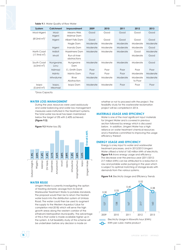**Table 9.1: Water Quality of Raw Water** 

| System                                  | <b>Catchment</b>  | Impoundment                  | 2009     | 2010     | 2011     | 2012                | 2013     |
|-----------------------------------------|-------------------|------------------------------|----------|----------|----------|---------------------|----------|
| Mooi-Mgeni                              | Mooi-<br>Mgeni    | Mearns Weir,<br>Midmar Dam   | Good     | Good     | Good     | Good                | Good     |
| $(812mi)$ m <sup>3</sup> ) <sup>1</sup> | Mgeni             | Albert Falls Dam             | Good     | Good     | Good     | Good                | Good     |
|                                         |                   | Nagle Dam                    | Moderate | Moderate | Moderate | Moderate            | Moderate |
|                                         | Mgeni             | Inanda Dam                   | Moderate | Moderate | Moderate | Moderate            | Good     |
| North Coast                             | Mdloti            | Hazelmere Dam                | Moderate | Moderate | Moderate | Good                | Moderate |
| (17.9mi)                                | Mvoti             | Run-of-river<br>abstractions |          |          |          | Moderate            | Good     |
| South Coast<br>$(6.0\text{mil m}^3)$    | Nungwane,<br>Lovu | Nungwane<br>Dam              | Moderate | Moderate | Moderate | Moderate            | Good     |
|                                         | Mzimayi           | E J Smith Dam                | Poor     | Poor     | Poor     | Poor                | Poor     |
|                                         | Mzinto            | Mzinto Dam                   | Poor     | Poor     | Poor     | Moderate            | Moderate |
|                                         | <b>Mtwalume</b>   | River<br>Abstraction         | Moderate | Moderate | Moderate | Moderate<br>to Poor | Moderate |
| <b>Ixopo</b><br>$(0.6\text{mil m}^3)$   | Ixopo,<br>Mkomazi | Ixopo Dam                    | Moderate | Moderate | Poor     | Poor                | Poor     |

**1** Gross Capacity

#### **WATER LOSS MANAGEMENT**

During the year, resources were used assiduously and water balancing and water loss management measures were instituted in the treatment systems. The total water loss level has been maintained below the target of 5% with 2.45% achieved. **(Figure 9.3)**

**Figure 9.3** Water loss (%)



#### **WATER REUSE**

Umgeni Water is currently investigating the option of treating domestic sewage from its Darvill Wastewater Treatment Works to potable standards. The proposal would then be to return the treated water back into the distribution system at Umlaas Road. The water could then be used to augment the supply to the Western Aqueduct (due for completion mid-2018) which will serve the high growth areas along the western corridor of the eThekwini Metropolitan Municipality. The advantage of this is that water is made available higher up in the system. A full feasibility study of this scheme will be undertaken before any decision is made on

whether or not to proceed with the project. The feasibility study for this wastewater reclamation project will be completed in 2014.

#### **MATERIALS USAGE AND EFFICIENCY**

Water is one of the most significant input materials for Umgeni Water and is covered in previous section followed by energy which is discussed below. In addition, Umgeni Water has a high reliance on water treatment chemical resources and is therefore committed to improving the usage efficiency thereof.

# **ENERGY USAGE AND EFFICIENCY**

Energy is a key input to water and wastewater treatment processes, and in 2012/2013 Umgeni Water utilised a total of 160 million kWh of electricity. **Figure 9.4** shows energy usage and efficiency The decrease over the previous year (2011/2012: 217 million kWh) can be attributed to a reduction in raw and potable water pumping in the year which is subject to optimal matching of storage levels with demands from the various systems.

Figure 9.4: Electricity Usage and Efficiency Trends



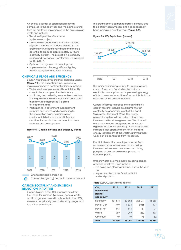An energy audit for all operational sites was completed in the prior year and the plans resulting from this are to be implemented in the business plan cycle and include:

- The Mooi-Mgeni Transfer scheme hydropower project,
- Darvill WWTW cogeneration initiative utilising digester methane to produce electricity. The preliminary investigations indicate that there is potential to produce approximately 22 MWhr electricity per day. The project is in preliminary design and EIA stages. Construction is envisaged for 2014/2015,
- Optimal management of pumping, and
- Implementation of energy efficient lighting measures aligned to national initiatives.

# **CHEMICALS USAGE AND EFFICIENCY**

Umgeni Water closely monitors its chemical usage **(Figure 9.5)**. The current initiatives in place to maintain or improve treatment efficiency include:

- Water treatment process audits, which identify areas to improve operational efficiency,
- Monitoring and reviewing seasonable variations in the quality of the water column in dams, such that raw water abstracted is optimal for treatment, and
- Participating in catchment management activities and forums, and contributing to the information base, including water quality, which helps shape and influence decisions for sustainable catchment land-use activities and developments.

#### **Figure 9.5: Chemical Usage and Efficiency Trends**



# **CARBON FOOTPRINT AND EMISSIONS REDUCTION INITIATIVES**

Umgeni Water's direct CO<sub>2</sub> emissions arise from fuel usage for transport (vehicles), general waste and from generators and boats, while indirect CO<sub>2</sub> emissions are primarily due to electricity usage, and to a minor extent flights.

The organisation's carbon footprint is primarily due to electricity consumption, and has accordingly been increasing over the years **(Figure 9.6).**

#### **Figure 9.6: CO, Equivalents (tonnes)**



The major contributing activity to Umgeni Water's carbon footprint is from indirect emissions electricity consumption and implementing energy efficient measures would therefore contribute to the reduction of the carbon footprint.

Current initiatives to reduce the organisation's carbon footprint include development of an electricity co-generation plant at the Darvill Wastewater Treatment Works. The energy generation system will comprise a biogas pretreatment unit and two generators. The plant will utilise the methane gas generated in the biodigesters to produce electricity. Preliminary studies indicated that approximately 40% of the total energy requirement of the wastewater treatment works can be generated from this source.

Electricity is used for pumping raw water from various resources to treatment plants, during treatment in treatment processes, and during pumping of bulk potable water product to customer points.

Umgeni Water also implements on-going carbon offsetting initiatives which include:

- On-going tree planting initiatives during the year, and
- Implementation of the Darvill artificial wetland project.

#### **Table 9.2:** CO<sub>2</sub> Equivalents (tonnes)

| CO <sub>2</sub><br>equivalents<br>(tonnes)<br>per activity | 2010     | 2011    | 2012    | 2013    |
|------------------------------------------------------------|----------|---------|---------|---------|
| Electricity                                                | 131 851  | 163392  | 208 071 | 153 280 |
| Travel: Car                                                | 407<br>L | 1 3 3 4 | 2086    | 137     |
| Travel: Air                                                | 143      | 143     | 81      | 71      |
| Waste                                                      | 989      | 299     | 262     | 196     |
| Other fuel                                                 | 40       | 40      | 98      | 82      |
| Total                                                      | 134 430  | 165064  | 210 598 | 153 766 |

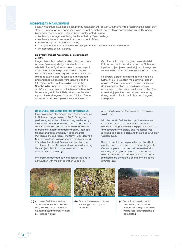# **BIODIVERSITY MANAGEMENT**

Umgeni Water has developed a biodiversity management strategy with the view to establishing the biodiversity status of Umgeni Water's operational areas as well as highlight areas of high conservation status. On-going biodiversity management activities being implemented include:

- Biodiversity management being implemented by Msinsi Holdings,
- Biodiversity Impact assessment as a component of EIAs,
- Alien and aquatic vegetation control,
- Management for listed tree removals during construction of new infrastructure, and
- Bio-monitoring of river systems.

#### **Biodiversity Impact Assessment as a component of EIA's**

Umgeni Water has thirty-four (34) projects in various phases of planning, design, construction and rehabilitation. Mitigation for a key pipeline project constructed through a protected area, the Bill Barnes Nature Reserve, required construction to be limited to existing pipeline servitude. Threatened and endangered species were identified on five (5) projects including *Boscia albitrunca* in the Ngcebo WTW upgrade, *Hypoxis hemerocallides* and *Crinum macowanni* on the Lower Thukela BWSS, Drakensberg Moist Foothill Grassland species which support the endangered Oribi and Wattled Crane on the Mpofana BWSS project, Midlands Mistbelt

Grassland with the endangered *Hypoxis* (Wild Potato), *Watsonia* and *Moraea* on the Richmond Pipeline project (see case study) and *Barringtonia racemosa* on the Hazelmere to Bifurcation pipeline.

Biodiversity aspects are being determined on a further five (5) projects in the planning / design phases. Mitigation measures carried out include design considerations to avoid rare species, amendment to the procedure for excavation (see case study), plant rescue and minor re-routing during construction to avoid listed endangered tree species.

#### **CASE STUDY: RICHMOND PIPELINE DEVELOPMENT.**

The construction of a pipeline from Pietermaritzburg to Richmond began in March 2013. During the preliminary inspection of the working servitude by the Contractor's rehabilitation specialist an area of Midlands Mistbelt Grassland which was observed as being rich in forbs and dominated by *Themeda triandra* and transformed by Ngongoni grass (Aristida junciformis subsp. junciformis) was identified **(a)***.* This grassland has high species biodiversity and is listed as threatened. Several species which are considered to be of conservation concern including *Hypoxis* (Wild Potato), *Watsonia* and *Moraea*  species were observed **(b)**.

The area was deemed as worth conserving and in conjunction with the Rehabilitation Specialist,

a decision to protect the site as best as possible was taken.

With the onset of winter the topsoil was removed in the form of sods and stored with the least disturbance as possible **(c)**. The pipe was then laid and covered immediately and the topsoil was returned as close as possible to the site from which it was removed.

The sods are then set in place by hand and bulbs planted and turned upwards to promote growth. Once completed, the area will be seeded with rapidly growing grass to protect the exposed soil from erosion. The rehabilitation of this area is planned to be completed prior to the expected summer rains.



**(a)** An area of Midlands Mistbelt **(b)** One of the Moraea species **(c)** Grassland, dominated by forbrich, tall, Red Grass *Themeda triandra* grasslands transformed by Ngongoni grass.



(b) One of the *Moraea* species flowering in the adjacent grassland.



(c) Top soil removed prior to excavating the pipeline trench- note large sods which will be reset once pipeline is completed.

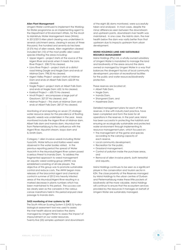#### **Alien Plant Management**

Umgeni Water continued to implement the Workingfor-Water programme as an implementing agent to the Department of Environment Affairs, for the Mvoti to Mzimkhulu Water Management Area (WMA). In 2012/2013 Alien plant clearing was undertaken in several catchment areas, clearing in excess of three thousand, five hundred and seventy-six hectares (3 576 Ha) of alien weeds. Alien vegetation cleared included ten (10) of the most prolific alien weed species infesting the areas including:

- Upper Mgeni project starts at the source of the Mgeni River and ends when it meets the Lions River Project: 258.72 Ha cleared,
- Lions River Project project starts at a district road linking Dargle and Nagle Dam and ends at Midmar Dam: 798.35 Ha cleared,
- Mgeni Valley Project –project starts at Midmar Dam and ends at Albert Falls Dam: 622.09 Ha cleared,
- Nagle Project –project starts at Albert Falls Dam and ends at Nagle Dam: 652.16 Ha cleared.
- Karkloof Project –: 630.75 Ha cleared,
- Mvoti Project encompasses a large part of Greytown: 327.07 Ha cleared, and
- Midmar Project This starts at Midmar Dam and ends at Albert Falls Dam: 287.07 Ha cleared.

Monitoring of and reporting on seven (7) strategic water resource areas for the prevalence of floating aquatic weeds was undertaken in the year. Areas monitored include the Mgeni River at Midmar dam, Albert falls dam and Inanda dam, Msunduzi river from Pietermaritzburg to the confluence with the Mgeni River, Mpushini stream, Ixopo dam and EJ Smith Dam.

Category 1 alien invasive weeds including Water hyacinth, Water lettuce and Kariba weed were observed in the water bodies visited. In the previous reporting period the spread of Water Hyacinth in the Msunduzi/Mgeni River system posed a serious threat to Inanda Dam. To address the fragmented approach to weed management an aquatic weed working-group (AWW) was established consisting of all role players. The objective of this group was to promote sustainable control and reduce costs. The AWW began mass releases of the biocontrol agent and chemical control in summer of 2012 into heavily infested areas of the Msunduzi/Mgeni River resulting in a marked decrease in plants numbers which has been maintained to this period. The success can be clearly seen as the canoeists in the various canoe marathons held in this period enjoyed clear passage to Inanda dam.

#### **SASS monitoring of river systems by UW**

The South African Scoring System 5 (SASS 5) hydrobiological assessment tool was used to assess the river health above and below the dams managed by Umgeni Water to assess the impact of impoundment on our water resources. Twenty-five (25) samples upstream and downstream of the eight (8) dams monitored, were successfully taken and analysed. In most cases, despite the minor differences seen between the downstream and upstream points, downstream river health was maintained. In one case, the Mzinto dam, the river health below the dam was vastly better than that upstream due to impacts upstream from urban development.

#### **MSINSI HOLDINGS LAND AND SUSTAINABLE RESOURCE MANAGEMENT**

Msinsi Holdings (Pty) Ltd, a wholly-owned subsidiary of Umgeni Water is mandated to manage the land and biodiversity of the areas around the dams owned or managed by Umgeni Water in a way that balances the divergent factors of local community development, provision of recreational facilities for the public and water resources/biodiversity protection.

These reserves are located at:

- Albert Falls Dam,
- Nagle Dam,
- Inanda Dam,
- Shongweni Dam, and
- Hazelmere Dam.

Detailed management plans for each of the reserves, in line with industry best practice, have been completed and form the basis for all operations in the reserves. In the past year, Msinsi has been successful in protecting the habitats and ensuring an ecologically sustainable and protected water environment through implementing its resource management plan, which focused on:

- The management of the game and species according to the carrying capacity of each reserve,
- Local community development,
- Recreation for the public,
- Grassland management,
- Control of pollution inside the purchase areas, and
- Removal of alien invasive plants, both terrestrial and aquatic.

Msinsi Holdings continues to be seen as a significant player in the conservation and tourism sector in KZN. The close proximity of the Reserves managed by Msinsi Holdings to the urban centres of Durban and Pietermaritzburg make these little pockets of biodiversity all the more valuable. Msinsi Holdings will continue to ensure that the ecosystem services provided by the resources it manages on behalf of Umgeni Water are sustainably managed.

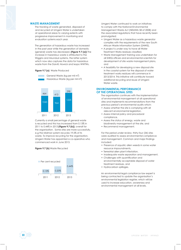# **WASTE MANAGEMENT**

The tracking of waste generated, disposed of and recycled at Umgeni Water is undertaken at operational areas to varying extents with progressive improvement in monitoring and evaluation systems each year.

The generation of hazardous waste has increased in the past year while the generation of domestic (general) waste has decreased. **(Figure 9.7 (a))** The increase in hazardous waste is attributed to the Wiggins and Msunduzi systems, the latter system which now also captures the data for hazardous waste from the Darvill, Howick and Ixopo WWTWs.

#### **Figure 9.7 (a)** Waste Produced





Currently a small percentage of general waste is recycled and this has increased from 0.13% in 2011 to 0.44% in 2013 **(Figure 9.7 (b))**, overall for the organisation. Some sites are more successfully, e.g the Midmar system recycles 19.5% of its waste. To improve recycling for the organisation, Umgeni Water has appointed a co-operative who commenced work in June 2013.

#### **Figure 9.7 (b)** Waste Recycled



Umgeni Water continued to work on initiatives to comply with the National Environmental Management Waste Act (NEMWA 58 of 2008) and the associated regulations that have recently been promulgated:

- Umgeni Water as a hazardous waste generator complies with the requirements of the new South African Waste Information System (SAWIS),
- A project is under way to have all Water Treatment Works residues classified,
- Waste Management training was undertaken for all SHEQ officers and environmental scientists for development of site waste management plans, and
- A feasibility for developing a new disposal site in the coastal system for the disposal of water treatment works residues will commence in 2013/2014. This initiative will contribute toward additional recycling and reuse of Umgeni Water waste.

#### **ENVIRONMENTAL PERFORMANCE OF THE OPERATIONAL SITES**

The organisation continues with the implementation of environmental management at all operational sites and implements recommendations from the previous period's environmental audits which:

- Assess whether the site is complying with all relevant environmental legislation,
- Assess internal policy and procedural compliance,
- Assess the status of energy, waste and biodiversity management at the site, and
- Recommend management.

For the period under review, thirty-four (34) sites were audited to assess environmental compliance and management. Common and major findings included:

- Presence of aquatic alien weeds in some water resource impoundments,
- Terrestrial alien plant infestation,
- Inadequate waste separation and management,
- Challenges with quantification and
- environmentally acceptable disposal of water treatment residues, and
- Hydrocarbon spillages.

An environmental legal compliance law expert is being contracted to update the organisation's environmental legislation register, which will be used to increase education, awareness and environmental management at all levels.